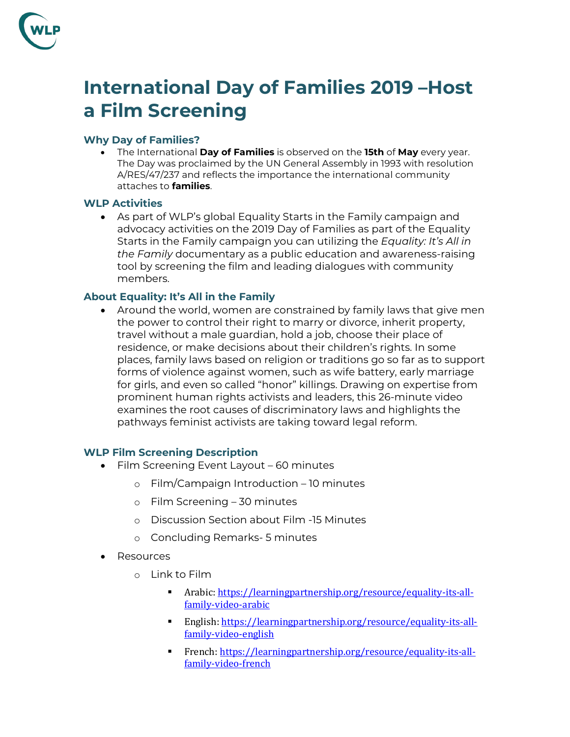

# **International Day of Families 2019 –Host a Film Screening**

### **Why Day of Families?**

• The International **Day of Families** is observed on the **15th** of **May** every year. The Day was proclaimed by the UN General Assembly in 1993 with resolution A/RES/47/237 and reflects the importance the international community attaches to **families**.

#### **WLP Activities**

• As part of WLP's global Equality Starts in the Family campaign and advocacy activities on the 2019 Day of Families as part of the Equality Starts in the Family campaign you can utilizing the *Equality: It's All in the Family* documentary as a public education and awareness-raising tool by screening the film and leading dialogues with community members.

## **About Equality: It's All in the Family**

• Around the world, women are constrained by family laws that give men the power to control their right to marry or divorce, inherit property, travel without a male guardian, hold a job, choose their place of residence, or make decisions about their children's rights. In some places, family laws based on religion or traditions go so far as to support forms of violence against women, such as wife battery, early marriage for girls, and even so called "honor" killings. Drawing on expertise from prominent human rights activists and leaders, this 26-minute video examines the root causes of discriminatory laws and highlights the pathways feminist activists are taking toward legal reform.

#### **WLP Film Screening Description**

- Film Screening Event Layout 60 minutes
	- o Film/Campaign Introduction 10 minutes
	- o Film Screening 30 minutes
	- o Discussion Section about Film -15 Minutes
	- o Concluding Remarks- 5 minutes
- Resources
	- o Link to Film
		- Arabic: [https://learningpartnership.org/resource/equality-its-all](https://learningpartnership.org/resource/equality-its-all-family-video-arabic)[family-video-arabic](https://learningpartnership.org/resource/equality-its-all-family-video-arabic)
		- English: [https://learningpartnership.org/resource/equality-its-all](https://learningpartnership.org/resource/equality-its-all-family-video-english)[family-video-english](https://learningpartnership.org/resource/equality-its-all-family-video-english)
		- French: [https://learningpartnership.org/resource/equality-its-all](https://learningpartnership.org/resource/equality-its-all-family-video-french)[family-video-french](https://learningpartnership.org/resource/equality-its-all-family-video-french)